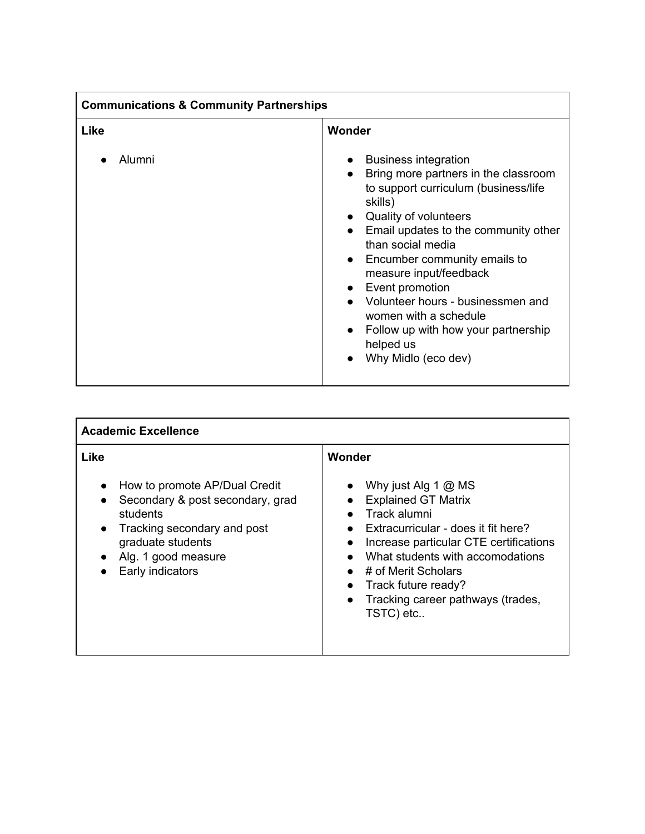| <b>Communications &amp; Community Partnerships</b> |                                                                                                                                                                                                                                                                                                                                                                                                                                                                                            |
|----------------------------------------------------|--------------------------------------------------------------------------------------------------------------------------------------------------------------------------------------------------------------------------------------------------------------------------------------------------------------------------------------------------------------------------------------------------------------------------------------------------------------------------------------------|
| Like                                               | Wonder                                                                                                                                                                                                                                                                                                                                                                                                                                                                                     |
| Alumni                                             | <b>Business integration</b><br>$\bullet$<br>Bring more partners in the classroom<br>$\bullet$<br>to support curriculum (business/life<br>skills)<br>• Quality of volunteers<br>Email updates to the community other<br>than social media<br>• Encumber community emails to<br>measure input/feedback<br>Event promotion<br>$\bullet$<br>Volunteer hours - businessmen and<br>women with a schedule<br>Follow up with how your partnership<br>$\bullet$<br>helped us<br>Why Midlo (eco dev) |

| <b>Academic Excellence</b>                                                                                                                                                                        |                                                                                                                                                                                                                                                                                                                                                                                                 |
|---------------------------------------------------------------------------------------------------------------------------------------------------------------------------------------------------|-------------------------------------------------------------------------------------------------------------------------------------------------------------------------------------------------------------------------------------------------------------------------------------------------------------------------------------------------------------------------------------------------|
| Like<br>How to promote AP/Dual Credit<br>Secondary & post secondary, grad<br>students<br>Tracking secondary and post<br>$\bullet$<br>graduate students<br>Alg. 1 good measure<br>Early indicators | Wonder<br>Why just Alg 1 $@$ MS<br>$\bullet$<br><b>Explained GT Matrix</b><br>$\bullet$<br>Track alumni<br>Extracurricular - does it fit here?<br>$\bullet$<br>Increase particular CTE certifications<br>$\bullet$<br>What students with accomodations<br>$\bullet$<br># of Merit Scholars<br>$\bullet$<br>• Track future ready?<br>Tracking career pathways (trades,<br>$\bullet$<br>TSTC) etc |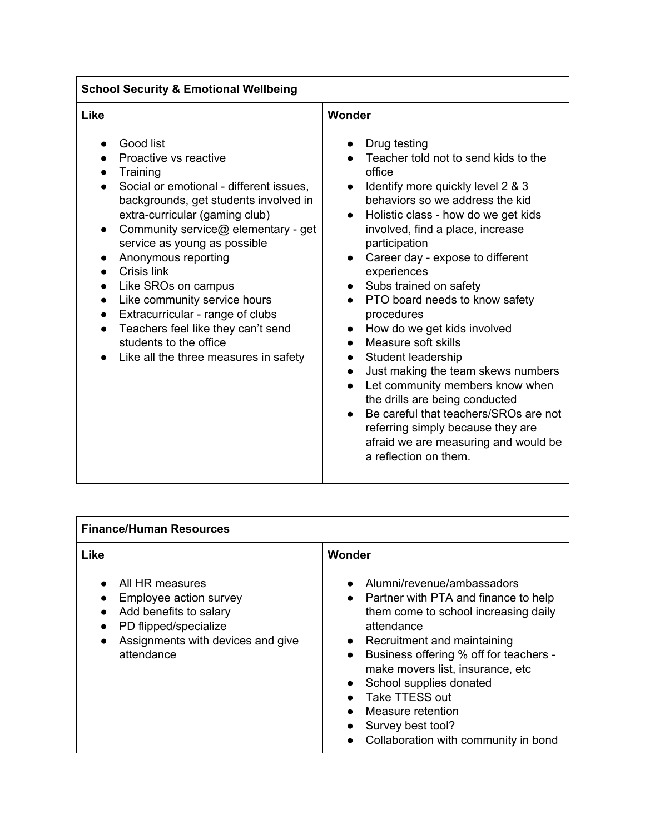| <b>Finance/Human Resources</b>                                                                                                                                                                      |                                                                                                                                                                                                                                                                                                                                                                                                    |  |
|-----------------------------------------------------------------------------------------------------------------------------------------------------------------------------------------------------|----------------------------------------------------------------------------------------------------------------------------------------------------------------------------------------------------------------------------------------------------------------------------------------------------------------------------------------------------------------------------------------------------|--|
| <b>Like</b>                                                                                                                                                                                         | Wonder                                                                                                                                                                                                                                                                                                                                                                                             |  |
| All HR measures<br>$\bullet$<br>Employee action survey<br>Add benefits to salary<br>$\bullet$<br>PD flipped/specialize<br>$\bullet$<br>Assignments with devices and give<br>$\bullet$<br>attendance | Alumni/revenue/ambassadors<br>• Partner with PTA and finance to help<br>them come to school increasing daily<br>attendance<br>• Recruitment and maintaining<br>Business offering % off for teachers -<br>$\bullet$<br>make movers list, insurance, etc<br>School supplies donated<br>$\bullet$<br>Take TTESS out<br>Measure retention<br>Survey best tool?<br>Collaboration with community in bond |  |